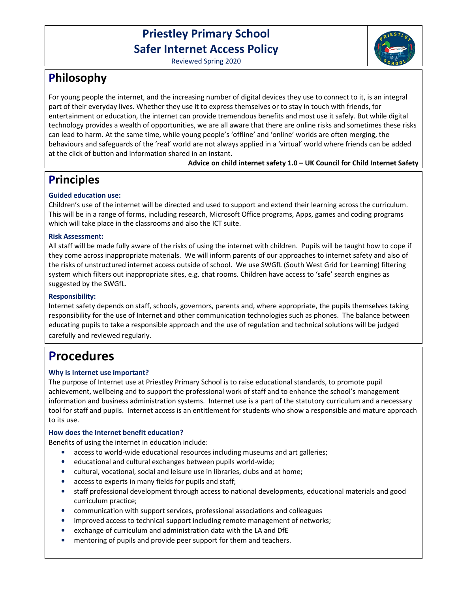# **Priestley Primary School Safer Internet Access Policy**



Reviewed Spring 2020

# **Philosophy**

For young people the internet, and the increasing number of digital devices they use to connect to it, is an integral part of their everyday lives. Whether they use it to express themselves or to stay in touch with friends, for entertainment or education, the internet can provide tremendous benefits and most use it safely. But while digital technology provides a wealth of opportunities, we are all aware that there are online risks and sometimes these risks can lead to harm. At the same time, while young people's 'offline' and 'online' worlds are often merging, the behaviours and safeguards of the 'real' world are not always applied in a 'virtual' world where friends can be added at the click of button and information shared in an instant.

# **Advice on child internet safety 1.0 – UK Council for Child Internet Safety**

# **Principles**

# **Guided education use:**

Children's use of the internet will be directed and used to support and extend their learning across the curriculum. This will be in a range of forms, including research, Microsoft Office programs, Apps, games and coding programs which will take place in the classrooms and also the ICT suite.

# **Risk Assessment:**

All staff will be made fully aware of the risks of using the internet with children. Pupils will be taught how to cope if they come across inappropriate materials. We will inform parents of our approaches to internet safety and also of the risks of unstructured internet access outside of school. We use SWGfL (South West Grid for Learning) filtering system which filters out inappropriate sites, e.g. chat rooms. Children have access to 'safe' search engines as suggested by the SWGfL.

# **Responsibility:**

Internet safety depends on staff, schools, governors, parents and, where appropriate, the pupils themselves taking responsibility for the use of Internet and other communication technologies such as phones. The balance between educating pupils to take a responsible approach and the use of regulation and technical solutions will be judged carefully and reviewed regularly.

# **Procedures**

# **Why is Internet use important?**

The purpose of Internet use at Priestley Primary School is to raise educational standards, to promote pupil achievement, wellbeing and to support the professional work of staff and to enhance the school's management information and business administration systems. Internet use is a part of the statutory curriculum and a necessary tool for staff and pupils. Internet access is an entitlement for students who show a responsible and mature approach to its use.

# **How does the Internet benefit education?**

Benefits of using the internet in education include:

- access to world-wide educational resources including museums and art galleries;
- educational and cultural exchanges between pupils world-wide;
- cultural, vocational, social and leisure use in libraries, clubs and at home;
- access to experts in many fields for pupils and staff;
- staff professional development through access to national developments, educational materials and good curriculum practice;
- communication with support services, professional associations and colleagues
- improved access to technical support including remote management of networks;
- exchange of curriculum and administration data with the LA and DfE
- mentoring of pupils and provide peer support for them and teachers.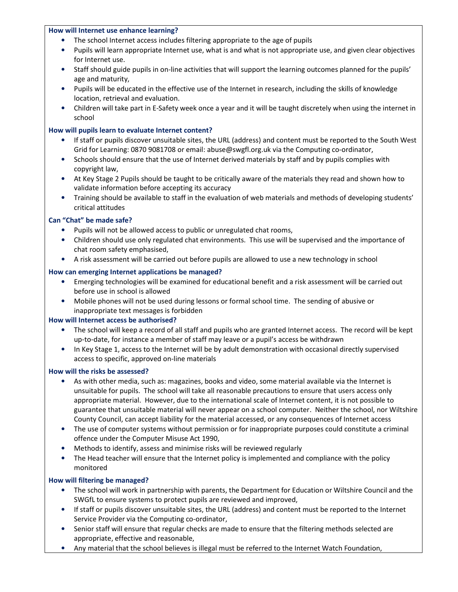#### **How will Internet use enhance learning?**

- The school Internet access includes filtering appropriate to the age of pupils
- Pupils will learn appropriate Internet use, what is and what is not appropriate use, and given clear objectives for Internet use.
- Staff should guide pupils in on-line activities that will support the learning outcomes planned for the pupils' age and maturity,
- Pupils will be educated in the effective use of the Internet in research, including the skills of knowledge location, retrieval and evaluation.
- Children will take part in E-Safety week once a year and it will be taught discretely when using the internet in school

## **How will pupils learn to evaluate Internet content?**

- If staff or pupils discover unsuitable sites, the URL (address) and content must be reported to the South West Grid for Learning: 0870 9081708 or email: abuse@swgfl.org.uk via the Computing co-ordinator,
- Schools should ensure that the use of Internet derived materials by staff and by pupils complies with copyright law,
- At Key Stage 2 Pupils should be taught to be critically aware of the materials they read and shown how to validate information before accepting its accuracy
- Training should be available to staff in the evaluation of web materials and methods of developing students' critical attitudes

## **Can "Chat" be made safe?**

- Pupils will not be allowed access to public or unregulated chat rooms,
- Children should use only regulated chat environments. This use will be supervised and the importance of chat room safety emphasised,
- A risk assessment will be carried out before pupils are allowed to use a new technology in school

#### **How can emerging Internet applications be managed?**

- Emerging technologies will be examined for educational benefit and a risk assessment will be carried out before use in school is allowed
- Mobile phones will not be used during lessons or formal school time. The sending of abusive or inappropriate text messages is forbidden

#### **How will Internet access be authorised?**

- The school will keep a record of all staff and pupils who are granted Internet access. The record will be kept up-to-date, for instance a member of staff may leave or a pupil's access be withdrawn
- In Key Stage 1, access to the Internet will be by adult demonstration with occasional directly supervised access to specific, approved on-line materials

#### **How will the risks be assessed?**

- As with other media, such as: magazines, books and video, some material available via the Internet is unsuitable for pupils. The school will take all reasonable precautions to ensure that users access only appropriate material. However, due to the international scale of Internet content, it is not possible to guarantee that unsuitable material will never appear on a school computer. Neither the school, nor Wiltshire County Council, can accept liability for the material accessed, or any consequences of Internet access
- The use of computer systems without permission or for inappropriate purposes could constitute a criminal offence under the Computer Misuse Act 1990,
- Methods to identify, assess and minimise risks will be reviewed regularly
- The Head teacher will ensure that the Internet policy is implemented and compliance with the policy monitored

## **How will filtering be managed?**

- The school will work in partnership with parents, the Department for Education or Wiltshire Council and the SWGfL to ensure systems to protect pupils are reviewed and improved,
- If staff or pupils discover unsuitable sites, the URL (address) and content must be reported to the Internet Service Provider via the Computing co-ordinator,
- Senior staff will ensure that regular checks are made to ensure that the filtering methods selected are appropriate, effective and reasonable,
- Any material that the school believes is illegal must be referred to the Internet Watch Foundation,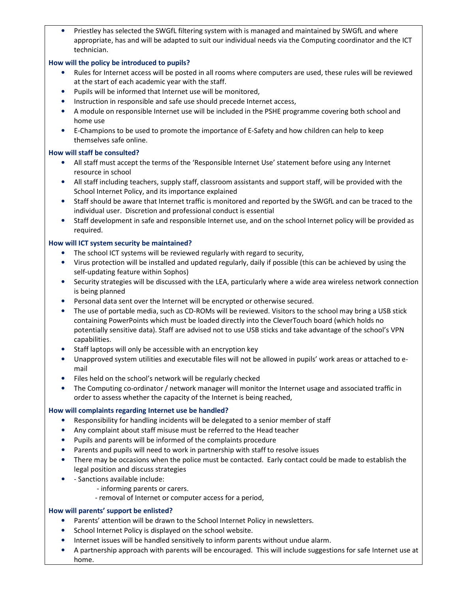• Priestley has selected the SWGfL filtering system with is managed and maintained by SWGfL and where appropriate, has and will be adapted to suit our individual needs via the Computing coordinator and the ICT technician.

### **How will the policy be introduced to pupils?**

- Rules for Internet access will be posted in all rooms where computers are used, these rules will be reviewed at the start of each academic year with the staff.
- Pupils will be informed that Internet use will be monitored,
- Instruction in responsible and safe use should precede Internet access,
- A module on responsible Internet use will be included in the PSHE programme covering both school and home use
- E-Champions to be used to promote the importance of E-Safety and how children can help to keep themselves safe online.

## **How will staff be consulted?**

- All staff must accept the terms of the 'Responsible Internet Use' statement before using any Internet resource in school
- All staff including teachers, supply staff, classroom assistants and support staff, will be provided with the School Internet Policy, and its importance explained
- Staff should be aware that Internet traffic is monitored and reported by the SWGfL and can be traced to the individual user. Discretion and professional conduct is essential
- Staff development in safe and responsible Internet use, and on the school Internet policy will be provided as required.

## **How will ICT system security be maintained?**

- The school ICT systems will be reviewed regularly with regard to security,
- Virus protection will be installed and updated regularly, daily if possible (this can be achieved by using the self-updating feature within Sophos)
- Security strategies will be discussed with the LEA, particularly where a wide area wireless network connection is being planned
- Personal data sent over the Internet will be encrypted or otherwise secured.
- The use of portable media, such as CD-ROMs will be reviewed. Visitors to the school may bring a USB stick containing PowerPoints which must be loaded directly into the CleverTouch board (which holds no potentially sensitive data). Staff are advised not to use USB sticks and take advantage of the school's VPN capabilities.
- Staff laptops will only be accessible with an encryption key
- Unapproved system utilities and executable files will not be allowed in pupils' work areas or attached to email
- Files held on the school's network will be regularly checked
- The Computing co-ordinator / network manager will monitor the Internet usage and associated traffic in order to assess whether the capacity of the Internet is being reached,

## **How will complaints regarding Internet use be handled?**

- Responsibility for handling incidents will be delegated to a senior member of staff
- Any complaint about staff misuse must be referred to the Head teacher
- Pupils and parents will be informed of the complaints procedure
- Parents and pupils will need to work in partnership with staff to resolve issues
- There may be occasions when the police must be contacted. Early contact could be made to establish the legal position and discuss strategies
- - Sanctions available include:
	- informing parents or carers.
	- removal of Internet or computer access for a period,

#### **How will parents' support be enlisted?**

- Parents' attention will be drawn to the School Internet Policy in newsletters.
- School Internet Policy is displayed on the school website.
- Internet issues will be handled sensitively to inform parents without undue alarm.
- A partnership approach with parents will be encouraged. This will include suggestions for safe Internet use at home.